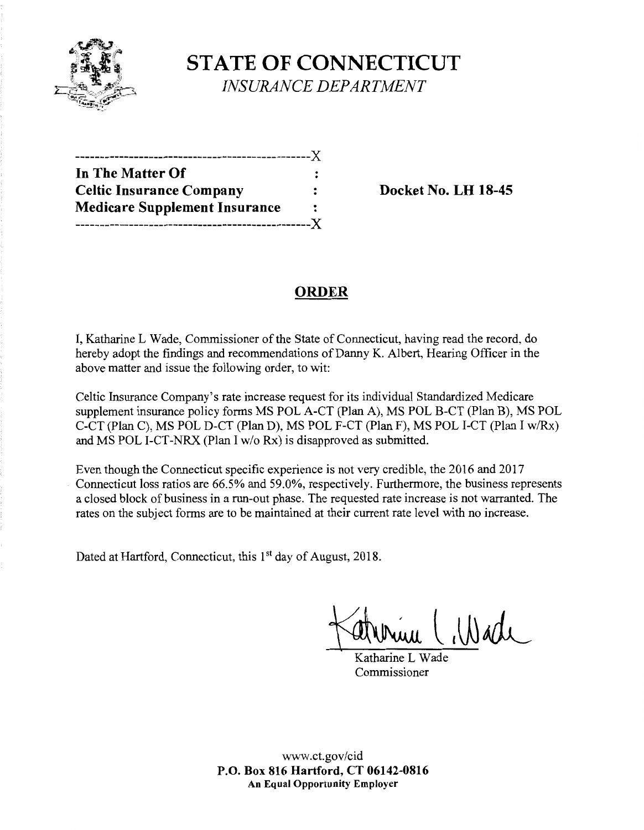

**STATE OF CONNECTICUT**  *INSURANCE DEPARTMENT* 

| In The Matter Of                     |                |
|--------------------------------------|----------------|
| <b>Celtic Insurance Company</b>      |                |
| <b>Medicare Supplement Insurance</b> | $\ddot{\cdot}$ |
|                                      |                |

**Docket No. LH 18-45** 

# **ORDER**

I, Katharine L Wade, Commissioner of the State of Connecticut, having read the record, do hereby adopt the findings and recommendations of Danny K. Albert, Hearing Officer in the above matter and issue the following order, to wit:

Celtic Insurance Company's rate increase request for its individual Standardized Medicare supplement insurance policy forms MS POL A-CT (Plan A), MS POL B-CT (Plan B), MS POL C-CT (Plan C), MS POL D-CT (Plan D), MS POL F-CT (Plan F), MS POL I-CT (Plan I w/Rx) and MS POL 1-CT-NRX (Plan I w/o Rx) is disapproved as submitted.

Even though the Connecticut specific experience is not very credible, the 2016 and 2017 Connecticut loss ratios are 66.5% and 59.0%, respectively. Furthermore, the business represents a closed block of business in a run-out phase. The requested rate increase is not warranted. The rates on the subject forms are to be maintained at their current rate level with no increase.

Dated at Hartford, Connecticut, this 1<sup>st</sup> day of August, 2018.

 $N$ ade

Katharine L Wade Commissioner

www.ct.gov/cid **P.O. Box 816 Hartford, CT 06142-0816 An Equal Opportunity Employer**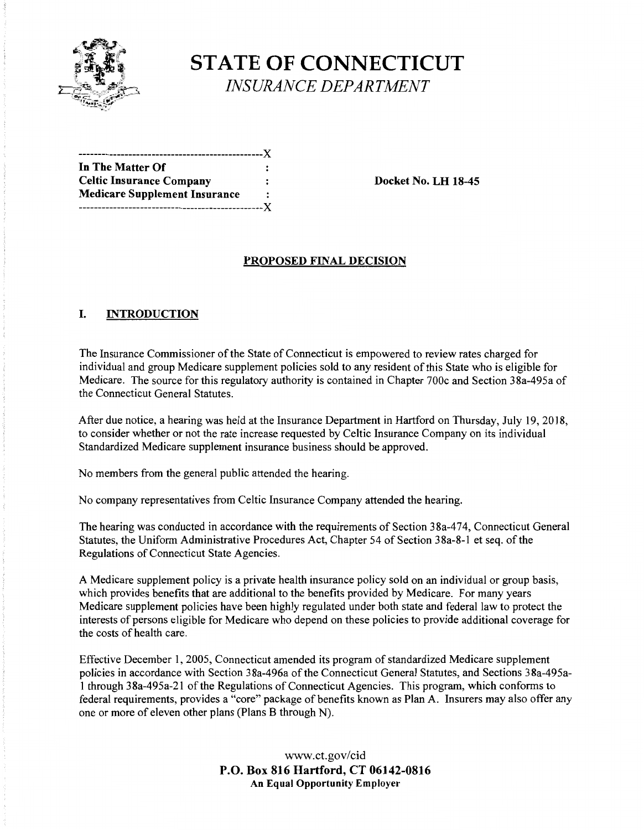

# **STATE OF CONNECTICUT**  *INSURANCE DEPARTMENT*

| ---------------------------------X   |   |
|--------------------------------------|---|
| In The Matter Of                     |   |
| <b>Celtic Insurance Company</b>      |   |
| <b>Medicare Supplement Insurance</b> | : |
|                                      |   |

**Docket No. LH 18-45** 

## **PROPOSED FINAL DECISION**

#### I. **INTRODUCTION**

The Insurance Commissioner of the State of Connecticut is empowered to review rates charged for individual and group Medicare supplement policies sold to any resident of this State who is eligible for Medicare. The source for this regulatory authority is contained in Chapter 700c and Section 38a-495a of the Connecticut General Statutes.

After due notice, a hearing was held at the Insurance Department in Hartford on Thursday, July 19, 2018, to consider whether or not the rate increase requested by Celtic Insurance Company on its individual Standardized Medicare supplement insurance business should be approved.

No members from the general public attended the hearing.

No company representatives from Celtic Insurance Company attended the hearing.

The hearing was conducted in accordance with the requirements of Section 38a-474, Connecticut General Statutes, the Uniform Administrative Procedures Act, Chapter 54 of Section 38a-8-1 et seq. of the Regulations of Connecticut State Agencies.

A Medicare supplement policy is a private health insurance policy sold on an individual or group basis, which provides benefits that are additional to the benefits provided by Medicare. For many years Medicare supplement policies have been highly regulated under both state and federal law to protect the interests of persons eligible for Medicare who depend on these policies to provide additional coverage for the costs of health care.

Effective December 1, 2005, Connecticut amended its program of standardized Medicare supplement policies in accordance with Section 38a-496a of the Connecticut General Statutes, and Sections 38a-495a-1 through 38a-495a-21 of the Regulations of Connecticut Agencies. This program, which conforms to federal requirements, provides a "core" package of benefits known as Plan A. Insurers may also offer any one or more of eleven other plans (Plans B through N).

> www.ct.gov/cid **P.O. Box 816 Hartford, CT 06142-0816 An Equal Opportunity Employer**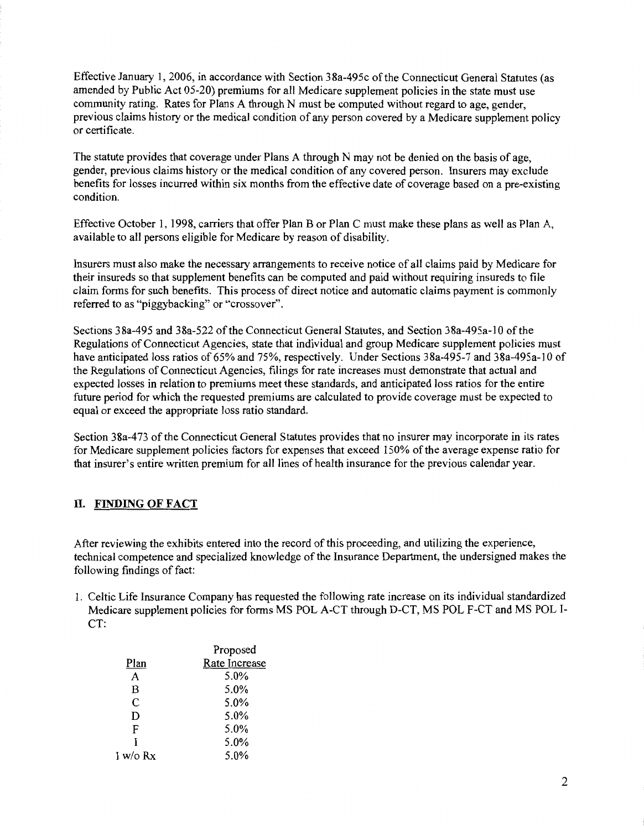Effective January 1, 2006, in accordance with Section 38a-495c ofthe Connecticut General Statutes (as amended by Public Act 05-20) premiums for all Medicare supplement policies in the state must use community rating. Rates for Plans A through N must be computed without regard to age, gender, previous claims history or the medical condition of any person covered by a Medicare supplement policy or certificate.

The statute provides that coverage under Plans A through N may not be denied on the basis of age, gender, previous claims history or the medical condition of any covered person. Insurers may exclude benefits for losses incurred within six months from the effective date of coverage based on a pre-existing condition.

Effective October 1, 1998, carriers that offer Plan B or Plan C must make these plans as well as Plan A, available to all persons eligible for Medicare by reason of disability.

Insurers must also make the necessary arrangements to receive notice of all claims paid by Medicare for their insureds so that supplement benefits can be computed and paid without requiring insureds to file claim forms for such benefits. This process of direct notice and automatic claims payment is commonly referred to as "piggybacking" or "crossover".

Sections 38a-495 and 38a-522 of the Connecticut General Statutes, and Section 38a-495a-10 of the Regulations of Connecticut Agencies, state that individual and group Medicare supplement policies must have anticipated loss ratios of 65% and 75%, respectively. Under Sections 38a-495-7 and 38a-495a-10 of the Regulations of Connecticut Agencies, filings for rate increases must demonstrate that actual and expected losses in relation to premiums meet these standards, and anticipated loss ratios for the entire future period for which the requested premiums are calculated to provide coverage must be expected to equal or exceed the appropriate loss ratio standard.

Section 38a-473 of the Connecticut General Statutes provides that no insurer may incorporate in its rates for Medicare supplement policies factors for expenses that exceed 150% of the average expense ratio for that insurer's entire written premium for all lines of health insurance for the previous calendar year.

#### **II. FINDING OF FACT**

After reviewing the exhibits entered into the record of this proceeding, and utilizing the experience, technical competence and specialized knowledge of the Insurance Department, the undersigned makes the following findings of fact:

1. Celtic Life Insurance Company has requested the following rate increase on its individual standardized Medicare supplement policies for forms MS POL A-CT through D-CT, MS POL F-CT and MS POL 1- CT:

|            | Proposed      |
|------------|---------------|
| Plan       | Rate Increase |
| A          | 5.0%          |
| B          | 5.0%          |
| C          | 5.0%          |
| D          | 5.0%          |
| F          | 5.0%          |
| I          | 5.0%          |
| I w/o $Rx$ | 5.0%          |
|            |               |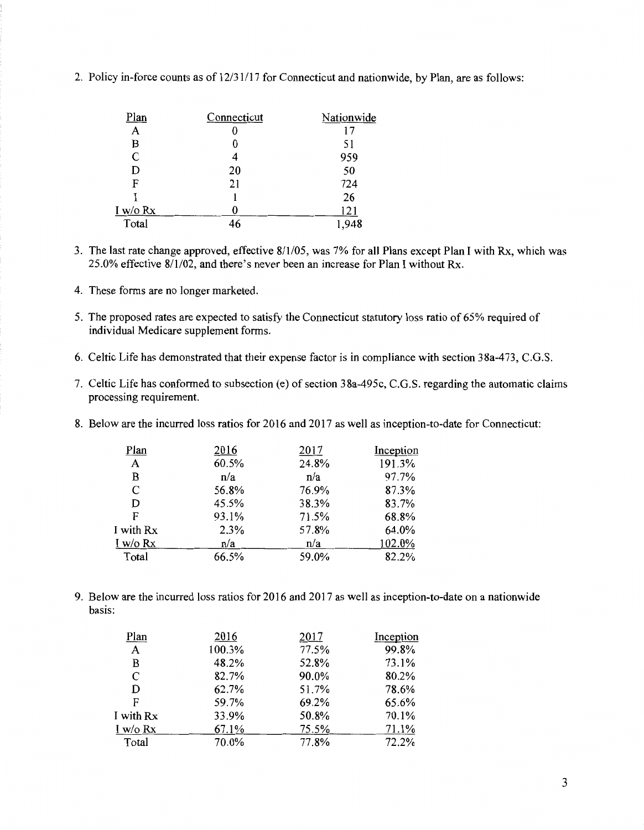| <u>Plan</u>   | Connecticut | Nationwide |
|---------------|-------------|------------|
| A             |             | 17         |
| B             | 0           | 51         |
| $\mathcal{C}$ | 4           | 959        |
| D             | 20          | 50         |
| F             | 21          | 724        |
|               |             | 26         |
| I w/o Rx      |             | 121        |
| Total         | 46          | 948        |

2. Policy in-force counts as of 12/31/17 for Connecticut and nationwide, by Plan, are as follows:

- 3. The last rate change approved, effective 8/1/05, was 7% for all Plans except Plan I with Rx, which was 25.0% effective 8/1/02, and there's never been an increase for Plan I without Rx.
- 4. These forms are no longer marketed.
- 5. The proposed rates are expected to satisfy the Connecticut statutory loss ratio of 65% required of individual Medicare supplement forms.
- 6. Celtic Life has demonstrated that their expense factor is in compliance with section 38a-473, C.G.S.
- 7. Celtic Life has conformed to subsection (e) of section 38a-495c, C.G.S. regarding the automatic claims processing requirement.
- 8. Below are the incurred loss ratios for 2016 and 2017 as well as inception-to-date for Connecticut:

| 2016  | 2017  | Inception |
|-------|-------|-----------|
| 60.5% | 24.8% | 191.3%    |
| n/a   | n/a   | 97.7%     |
| 56.8% | 76.9% | 87.3%     |
| 45.5% | 38.3% | 83.7%     |
| 93.1% | 71.5% | 68.8%     |
| 2.3%  | 57.8% | 64.0%     |
| n/a   | n/a   | 102.0%    |
| 66.5% | 59.0% | 82.2%     |
|       |       |           |

9. Below are the incurred loss ratios for 2016 and 2017 as well as inception-to-date on a nationwide basis:

| Plan       | 2016   | 2017  | Inception |
|------------|--------|-------|-----------|
| A          | 100.3% | 77.5% | 99.8%     |
| B          | 48.2%  | 52.8% | 73.1%     |
| C          | 82.7%  | 90.0% | 80.2%     |
| D          | 62.7%  | 51.7% | 78.6%     |
| F          | 59.7%  | 69.2% | 65.6%     |
| I with Rx  | 33.9%  | 50.8% | 70.1%     |
| I w/o $Rx$ | 67.1%  | 75.5% | 71.1%     |
| Total      | 70.0%  | 77.8% | 72.2%     |